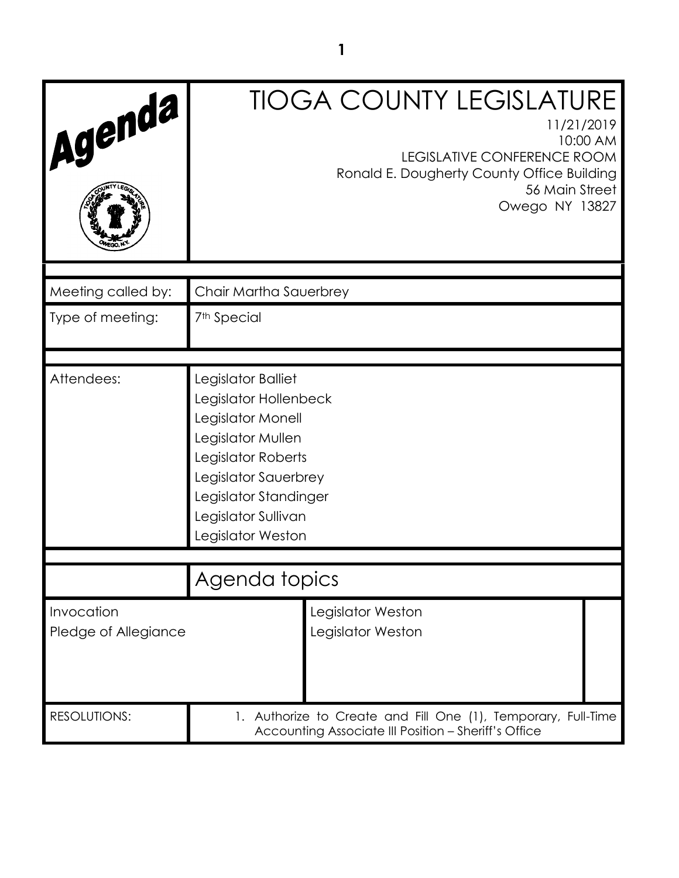| Agenda                             | <b>TIOGA COUNTY LEGISLATURE</b><br>11/21/2019<br>10:00 AM<br><b>LEGISLATIVE CONFERENCE ROOM</b><br>Ronald E. Dougherty County Office Building<br>56 Main Street<br>Owego NY 13827                        |
|------------------------------------|----------------------------------------------------------------------------------------------------------------------------------------------------------------------------------------------------------|
| Meeting called by:                 | Chair Martha Sauerbrey                                                                                                                                                                                   |
| Type of meeting:                   | 7 <sup>th</sup> Special                                                                                                                                                                                  |
|                                    |                                                                                                                                                                                                          |
| Attendees:                         | Legislator Balliet<br>Legislator Hollenbeck<br>Legislator Monell<br>Legislator Mullen<br>Legislator Roberts<br>Legislator Sauerbrey<br>Legislator Standinger<br>Legislator Sullivan<br>Legislator Weston |
|                                    |                                                                                                                                                                                                          |
|                                    | Agenda topics                                                                                                                                                                                            |
| Invocation<br>Pledge of Allegiance | Legislator Weston<br>Legislator Weston                                                                                                                                                                   |
| <b>RESOLUTIONS:</b>                | 1. Authorize to Create and Fill One (1), Temporary, Full-Time<br>Accounting Associate III Position - Sheriff's Office                                                                                    |

**1**